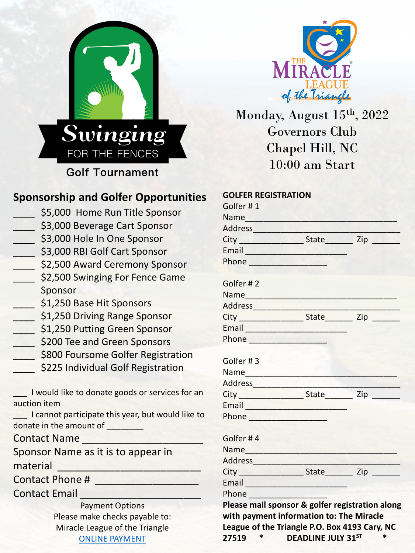



Monday, August 15<sup>th</sup>, 2022 Governors Club Chapel Hill, NC 10:00 am Start

## **Sponsorship and Golfer Opportunities**

- \$5,000 Home Run Title Sponsor \$3,000 Beverage Cart Sponsor
- \_\_\_\_ \$3,000 Hole In One Sponsor
- \_\_\_\_ \$3,000 RBI Golf Cart Sponsor
- 52,500 Award Ceremony Sponsor
- **S2,500 Swinging For Fence Game** Sponsor
- 51,250 Base Hit Sponsors
- 51,250 Driving Range Sponsor
- 51,250 Putting Green Sponsor
- **EXECO TEE and Green Sponsors**
- \_\_\_\_ \$800 Foursome Golfer Registration
- \$225 Individual Golf Registration

| I would like to donate goods or services for an |  |
|-------------------------------------------------|--|
| auction item                                    |  |

I cannot participate this year, but would like to donate in the amount of \_\_\_\_\_\_\_\_

Contact Name \_\_\_\_\_\_\_\_\_\_\_\_\_\_\_\_\_\_\_\_\_

Sponsor Name as it is to appear in material

Contact Phone #

Contact Email

Payment Options Please make checks payable to: Miracle League of the Triangle [ONLINE PAYMENT](https://www.mltriangle.com/sponsor/golf-tournament/)

| <b>GOLFER REGISTRATION</b>                                                                                                                                                                                                           |  |  |  |  |
|--------------------------------------------------------------------------------------------------------------------------------------------------------------------------------------------------------------------------------------|--|--|--|--|
| Golfer #1                                                                                                                                                                                                                            |  |  |  |  |
| Name                                                                                                                                                                                                                                 |  |  |  |  |
|                                                                                                                                                                                                                                      |  |  |  |  |
|                                                                                                                                                                                                                                      |  |  |  |  |
|                                                                                                                                                                                                                                      |  |  |  |  |
| Phone <b>Manual</b>                                                                                                                                                                                                                  |  |  |  |  |
| Golfer #2                                                                                                                                                                                                                            |  |  |  |  |
| Name                                                                                                                                                                                                                                 |  |  |  |  |
|                                                                                                                                                                                                                                      |  |  |  |  |
|                                                                                                                                                                                                                                      |  |  |  |  |
| Email <b>Experience and Service Contract Contract Contract Contract Contract Contract Contract Contract Contract Contract Contract Contract Contract Contract Contract Contract Contract Contract Contract Contract Contract Con</b> |  |  |  |  |
|                                                                                                                                                                                                                                      |  |  |  |  |
| Golfer #3                                                                                                                                                                                                                            |  |  |  |  |
|                                                                                                                                                                                                                                      |  |  |  |  |
|                                                                                                                                                                                                                                      |  |  |  |  |
|                                                                                                                                                                                                                                      |  |  |  |  |
| Email                                                                                                                                                                                                                                |  |  |  |  |
|                                                                                                                                                                                                                                      |  |  |  |  |
| Golfer #4                                                                                                                                                                                                                            |  |  |  |  |
|                                                                                                                                                                                                                                      |  |  |  |  |
|                                                                                                                                                                                                                                      |  |  |  |  |
|                                                                                                                                                                                                                                      |  |  |  |  |
|                                                                                                                                                                                                                                      |  |  |  |  |
| Phone                                                                                                                                                                                                                                |  |  |  |  |
| Please mail sponsor & golfer registration along                                                                                                                                                                                      |  |  |  |  |
| with payment information to: The Miracle                                                                                                                                                                                             |  |  |  |  |
| League of the Triangle P.O. Box 4193 Cary, NC                                                                                                                                                                                        |  |  |  |  |
| <b>DEADLINE JULY 31ST</b><br>27519<br>$\ast$<br>$\ast$                                                                                                                                                                               |  |  |  |  |